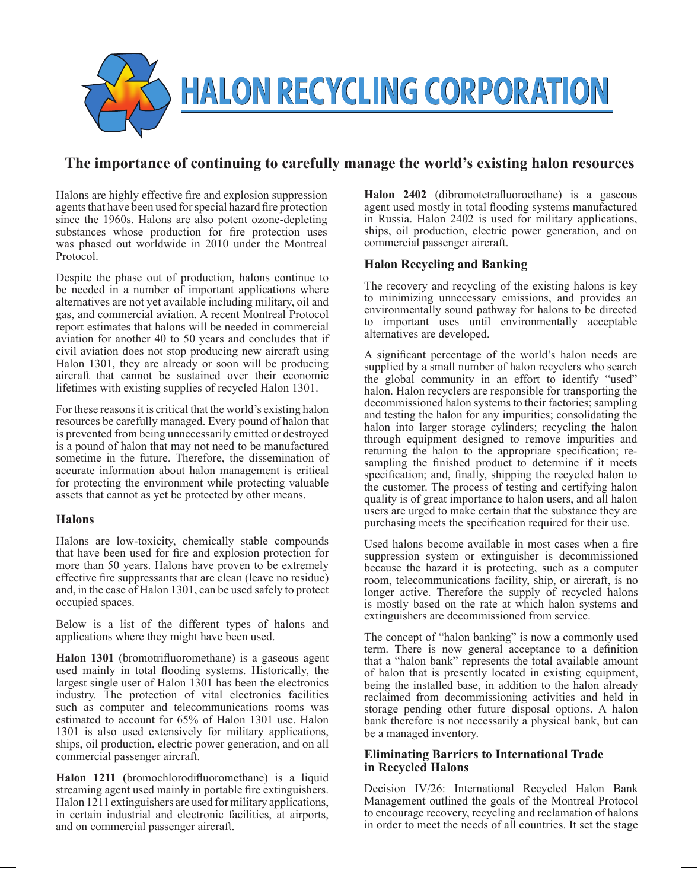

# **The importance of continuing to carefully manage the world's existing halon resources**

Halons are highly effective fire and explosion suppression agents that have been used for special hazard fire protection since the 1960s. Halons are also potent ozone-depleting substances whose production for fire protection uses was phased out worldwide in 2010 under the Montreal Protocol.

Despite the phase out of production, halons continue to be needed in a number of important applications where alternatives are not yet available including military, oil and gas, and commercial aviation. A recent Montreal Protocol report estimates that halons will be needed in commercial aviation for another 40 to 50 years and concludes that if civil aviation does not stop producing new aircraft using Halon 1301, they are already or soon will be producing aircraft that cannot be sustained over their economic lifetimes with existing supplies of recycled Halon 1301.

For these reasons it is critical that the world's existing halon resources be carefully managed. Every pound of halon that is prevented from being unnecessarily emitted or destroyed is a pound of halon that may not need to be manufactured sometime in the future. Therefore, the dissemination of accurate information about halon management is critical for protecting the environment while protecting valuable assets that cannot as yet be protected by other means.

#### **Halons**

Halons are low-toxicity, chemically stable compounds that have been used for fire and explosion protection for more than 50 years. Halons have proven to be extremely effective fire suppressants that are clean (leave no residue) and, in the case of Halon 1301, can be used safely to protect occupied spaces.

Below is a list of the different types of halons and applications where they might have been used.

**Halon 1301** (bromotrifluoromethane) is a gaseous agent used mainly in total flooding systems. Historically, the largest single user of Halon 1301 has been the electronics industry. The protection of vital electronics facilities such as computer and telecommunications rooms was estimated to account for 65% of Halon 1301 use. Halon 1301 is also used extensively for military applications, ships, oil production, electric power generation, and on all commercial passenger aircraft.

**Halon 1211 (**bromochlorodifluoromethane) is a liquid streaming agent used mainly in portable fire extinguishers. Halon 1211 extinguishers are used for military applications, in certain industrial and electronic facilities, at airports, and on commercial passenger aircraft.

**Halon 2402** (dibromotetrafluoroethane) is a gaseous agent used mostly in total flooding systems manufactured in Russia. Halon 2402 is used for military applications, ships, oil production, electric power generation, and on commercial passenger aircraft.

## **Halon Recycling and Banking**

The recovery and recycling of the existing halons is key to minimizing unnecessary emissions, and provides an environmentally sound pathway for halons to be directed to important uses until environmentally acceptable alternatives are developed.

A significant percentage of the world's halon needs are supplied by a small number of halon recyclers who search the global community in an effort to identify "used" halon. Halon recyclers are responsible for transporting the decommissioned halon systems to their factories; sampling and testing the halon for any impurities; consolidating the halon into larger storage cylinders; recycling the halon through equipment designed to remove impurities and returning the halon to the appropriate specification; resampling the finished product to determine if it meets specification; and, finally, shipping the recycled halon to the customer. The process of testing and certifying halon quality is of great importance to halon users, and all halon users are urged to make certain that the substance they are purchasing meets the specification required for their use.

Used halons become available in most cases when a fire suppression system or extinguisher is decommissioned because the hazard it is protecting, such as a computer room, telecommunications facility, ship, or aircraft, is no longer active. Therefore the supply of recycled halons is mostly based on the rate at which halon systems and extinguishers are decommissioned from service.

The concept of "halon banking" is now a commonly used term. There is now general acceptance to a definition that a "halon bank" represents the total available amount of halon that is presently located in existing equipment, being the installed base, in addition to the halon already reclaimed from decommissioning activities and held in storage pending other future disposal options. A halon bank therefore is not necessarily a physical bank, but can be a managed inventory.

#### **Eliminating Barriers to International Trade in Recycled Halons**

Decision IV/26: International Recycled Halon Bank Management outlined the goals of the Montreal Protocol to encourage recovery, recycling and reclamation of halons in order to meet the needs of all countries. It set the stage